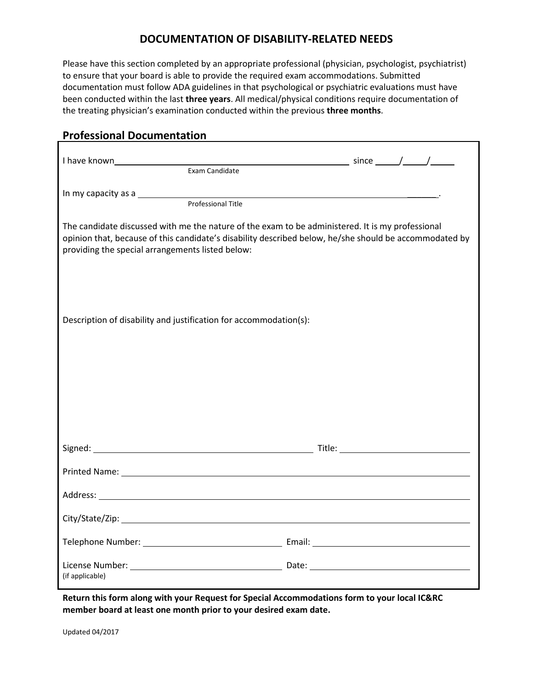## **DOCUMENTATION OF DISABILITY-RELATED NEEDS**

Please have this section completed by an appropriate professional (physician, psychologist, psychiatrist) to ensure that your board is able to provide the required exam accommodations. Submitted documentation must follow ADA guidelines in that psychological or psychiatric evaluations must have been conducted within the last **three years**. All medical/physical conditions require documentation of the treating physician's examination conducted within the previous **three months**.

## **Professional Documentation**

| Exam Candidate                                                                                                                                                                                                                                                 |  |
|----------------------------------------------------------------------------------------------------------------------------------------------------------------------------------------------------------------------------------------------------------------|--|
| In my capacity as a service and the service of the service of the service of the service of the service of the<br>Professional Title                                                                                                                           |  |
| The candidate discussed with me the nature of the exam to be administered. It is my professional<br>opinion that, because of this candidate's disability described below, he/she should be accommodated by<br>providing the special arrangements listed below: |  |
| Description of disability and justification for accommodation(s):                                                                                                                                                                                              |  |
|                                                                                                                                                                                                                                                                |  |
| Printed Name: The contract of the contract of the contract of the contract of the contract of the contract of the contract of the contract of the contract of the contract of the contract of the contract of the contract of                                  |  |
|                                                                                                                                                                                                                                                                |  |
|                                                                                                                                                                                                                                                                |  |
|                                                                                                                                                                                                                                                                |  |
| (if applicable)                                                                                                                                                                                                                                                |  |

**Return this form along with your Request for Special Accommodations form to your local IC&RC member board at least one month prior to your desired exam date.**